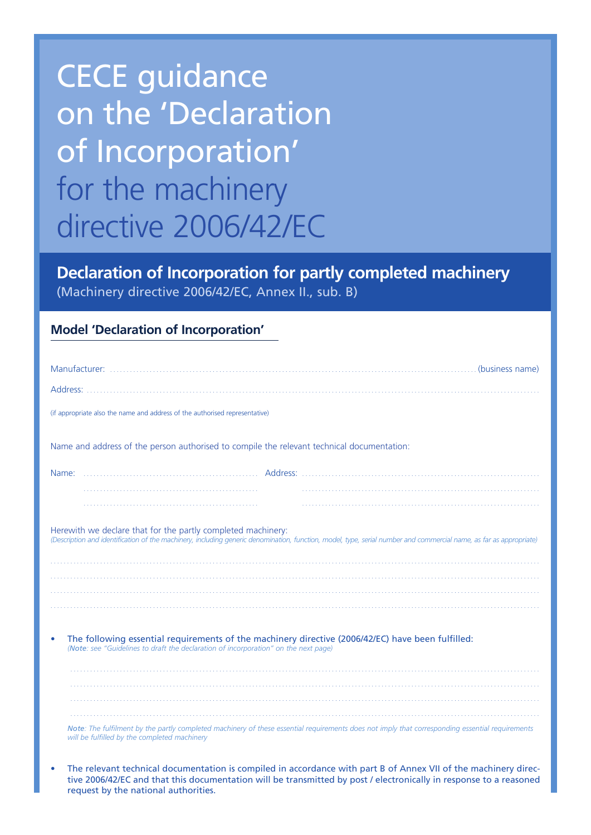## CECE guidance on the 'Declaration of Incorporation' for the machinery directive 2006/42/EC

**Declaration of Incorporation for partly completed machinery** (Machinery directive 2006/42/EC, Annex II., sub. B)

## **Model 'Declaration of Incorporation'**

| (if appropriate also the name and address of the authorised representative)                                                                                                                                                        |  |
|------------------------------------------------------------------------------------------------------------------------------------------------------------------------------------------------------------------------------------|--|
| Name and address of the person authorised to compile the relevant technical documentation:                                                                                                                                         |  |
|                                                                                                                                                                                                                                    |  |
|                                                                                                                                                                                                                                    |  |
|                                                                                                                                                                                                                                    |  |
| Herewith we declare that for the partly completed machinery:<br>(Description and identification of the machinery, including generic denomination, function, model, type, serial number and commercial name, as far as appropriate) |  |
|                                                                                                                                                                                                                                    |  |
|                                                                                                                                                                                                                                    |  |
|                                                                                                                                                                                                                                    |  |
| The following essential requirements of the machinery directive (2006/42/EC) have been fulfilled:<br>۰<br>(Note: see "Guidelines to draft the declaration of incorporation" on the next page)                                      |  |
|                                                                                                                                                                                                                                    |  |
|                                                                                                                                                                                                                                    |  |
| Note: The fulfilment by the partly completed machinery of these essential requirements does not imply that corresponding essential requirements<br>will be fulfilled by the completed machinery                                    |  |

The relevant technical documentation is compiled in accordance with part B of Annex VII of the machinery directive 2006/42/EC and that this documentation will be transmitted by post / electronically in response to a reasoned request by the national authorities.